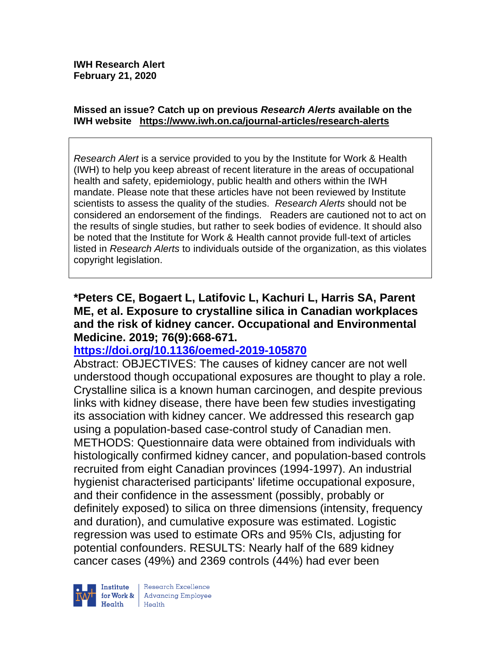#### **Missed an issue? Catch up on previous** *Research Alerts* **available on the [IWH website](http://www.iwh.on.ca/research-alerts) <https://www.iwh.on.ca/journal-articles/research-alerts>**

*Research Alert* is a service provided to you by the Institute for Work & Health (IWH) to help you keep abreast of recent literature in the areas of occupational health and safety, epidemiology, public health and others within the IWH mandate. Please note that these articles have not been reviewed by Institute scientists to assess the quality of the studies. *Research Alerts* should not be considered an endorsement of the findings. Readers are cautioned not to act on the results of single studies, but rather to seek bodies of evidence. It should also be noted that the Institute for Work & Health cannot provide full-text of articles listed in *Research Alerts* to individuals outside of the organization, as this violates copyright legislation.

#### **\*Peters CE, Bogaert L, Latifovic L, Kachuri L, Harris SA, Parent ME, et al. Exposure to crystalline silica in Canadian workplaces and the risk of kidney cancer. Occupational and Environmental Medicine. 2019; 76(9):668-671.**

## **<https://doi.org/10.1136/oemed-2019-105870>**

Abstract: OBJECTIVES: The causes of kidney cancer are not well understood though occupational exposures are thought to play a role. Crystalline silica is a known human carcinogen, and despite previous links with kidney disease, there have been few studies investigating its association with kidney cancer. We addressed this research gap using a population-based case-control study of Canadian men. METHODS: Questionnaire data were obtained from individuals with histologically confirmed kidney cancer, and population-based controls recruited from eight Canadian provinces (1994-1997). An industrial hygienist characterised participants' lifetime occupational exposure, and their confidence in the assessment (possibly, probably or definitely exposed) to silica on three dimensions (intensity, frequency and duration), and cumulative exposure was estimated. Logistic regression was used to estimate ORs and 95% CIs, adjusting for potential confounders. RESULTS: Nearly half of the 689 kidney cancer cases (49%) and 2369 controls (44%) had ever been

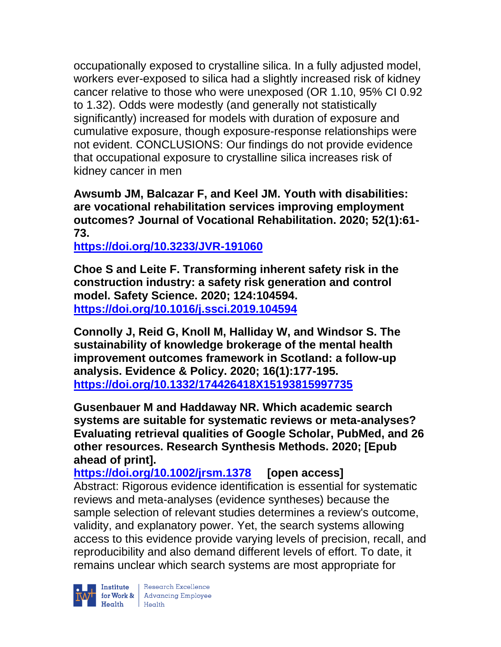occupationally exposed to crystalline silica. In a fully adjusted model, workers ever-exposed to silica had a slightly increased risk of kidney cancer relative to those who were unexposed (OR 1.10, 95% CI 0.92 to 1.32). Odds were modestly (and generally not statistically significantly) increased for models with duration of exposure and cumulative exposure, though exposure-response relationships were not evident. CONCLUSIONS: Our findings do not provide evidence that occupational exposure to crystalline silica increases risk of kidney cancer in men

**Awsumb JM, Balcazar F, and Keel JM. Youth with disabilities: are vocational rehabilitation services improving employment outcomes? Journal of Vocational Rehabilitation. 2020; 52(1):61- 73.** 

**<https://doi.org/10.3233/JVR-191060>** 

**Choe S and Leite F. Transforming inherent safety risk in the construction industry: a safety risk generation and control model. Safety Science. 2020; 124:104594. <https://doi.org/10.1016/j.ssci.2019.104594>** 

**Connolly J, Reid G, Knoll M, Halliday W, and Windsor S. The sustainability of knowledge brokerage of the mental health improvement outcomes framework in Scotland: a follow-up analysis. Evidence & Policy. 2020; 16(1):177-195. <https://doi.org/10.1332/174426418X15193815997735>** 

**Gusenbauer M and Haddaway NR. Which academic search systems are suitable for systematic reviews or meta-analyses? Evaluating retrieval qualities of Google Scholar, PubMed, and 26 other resources. Research Synthesis Methods. 2020; [Epub ahead of print].**

**<https://doi.org/10.1002/jrsm.1378> [open access]** Abstract: Rigorous evidence identification is essential for systematic reviews and meta-analyses (evidence syntheses) because the sample selection of relevant studies determines a review's outcome, validity, and explanatory power. Yet, the search systems allowing access to this evidence provide varying levels of precision, recall, and reproducibility and also demand different levels of effort. To date, it remains unclear which search systems are most appropriate for



Institute Research Excellence<br>
for Work & Advancing Employee<br>
Health Health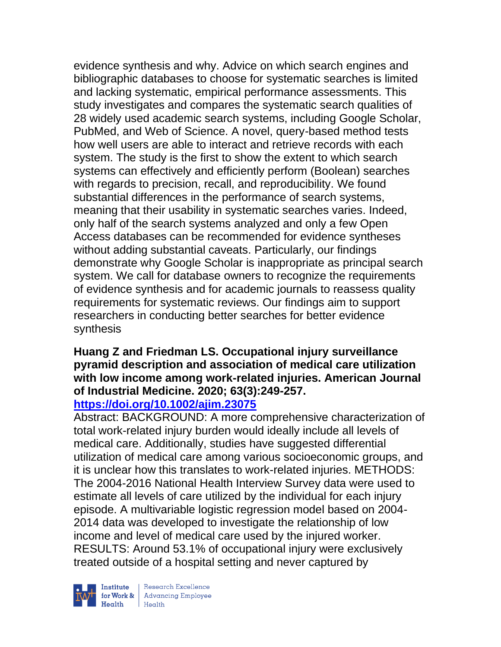evidence synthesis and why. Advice on which search engines and bibliographic databases to choose for systematic searches is limited and lacking systematic, empirical performance assessments. This study investigates and compares the systematic search qualities of 28 widely used academic search systems, including Google Scholar, PubMed, and Web of Science. A novel, query-based method tests how well users are able to interact and retrieve records with each system. The study is the first to show the extent to which search systems can effectively and efficiently perform (Boolean) searches with regards to precision, recall, and reproducibility. We found substantial differences in the performance of search systems, meaning that their usability in systematic searches varies. Indeed, only half of the search systems analyzed and only a few Open Access databases can be recommended for evidence syntheses without adding substantial caveats. Particularly, our findings demonstrate why Google Scholar is inappropriate as principal search system. We call for database owners to recognize the requirements of evidence synthesis and for academic journals to reassess quality requirements for systematic reviews. Our findings aim to support researchers in conducting better searches for better evidence synthesis

#### **Huang Z and Friedman LS. Occupational injury surveillance pyramid description and association of medical care utilization with low income among work-related injuries. American Journal of Industrial Medicine. 2020; 63(3):249-257. <https://doi.org/10.1002/ajim.23075>**

Abstract: BACKGROUND: A more comprehensive characterization of total work-related injury burden would ideally include all levels of medical care. Additionally, studies have suggested differential utilization of medical care among various socioeconomic groups, and it is unclear how this translates to work-related injuries. METHODS: The 2004-2016 National Health Interview Survey data were used to estimate all levels of care utilized by the individual for each injury episode. A multivariable logistic regression model based on 2004- 2014 data was developed to investigate the relationship of low income and level of medical care used by the injured worker. RESULTS: Around 53.1% of occupational injury were exclusively treated outside of a hospital setting and never captured by



| Research Excellence **Institute** Research Excellence<br> **Fractional Advancing Employee**<br> **Health** Health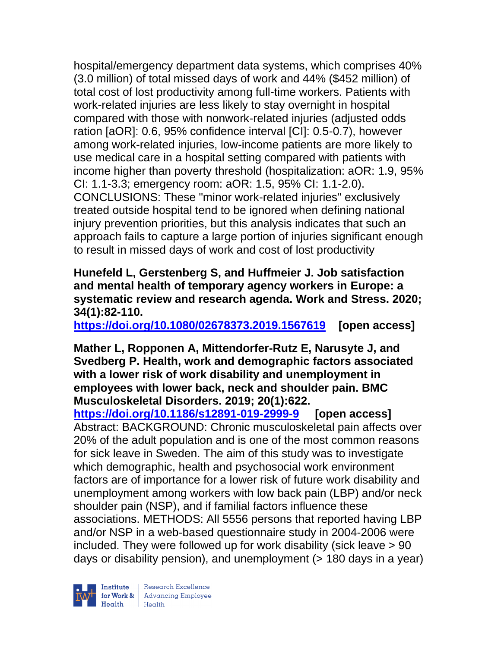hospital/emergency department data systems, which comprises 40% (3.0 million) of total missed days of work and 44% (\$452 million) of total cost of lost productivity among full-time workers. Patients with work-related injuries are less likely to stay overnight in hospital compared with those with nonwork-related injuries (adjusted odds ration [aOR]: 0.6, 95% confidence interval [CI]: 0.5-0.7), however among work-related injuries, low-income patients are more likely to use medical care in a hospital setting compared with patients with income higher than poverty threshold (hospitalization: aOR: 1.9, 95% CI: 1.1-3.3; emergency room: aOR: 1.5, 95% CI: 1.1-2.0). CONCLUSIONS: These "minor work-related injuries" exclusively treated outside hospital tend to be ignored when defining national injury prevention priorities, but this analysis indicates that such an approach fails to capture a large portion of injuries significant enough to result in missed days of work and cost of lost productivity

**Hunefeld L, Gerstenberg S, and Huffmeier J. Job satisfaction and mental health of temporary agency workers in Europe: a systematic review and research agenda. Work and Stress. 2020; 34(1):82-110.** 

**<https://doi.org/10.1080/02678373.2019.1567619> [open access]** 

**Mather L, Ropponen A, Mittendorfer-Rutz E, Narusyte J, and Svedberg P. Health, work and demographic factors associated with a lower risk of work disability and unemployment in employees with lower back, neck and shoulder pain. BMC Musculoskeletal Disorders. 2019; 20(1):622.**

**<https://doi.org/10.1186/s12891-019-2999-9> [open access]** Abstract: BACKGROUND: Chronic musculoskeletal pain affects over 20% of the adult population and is one of the most common reasons for sick leave in Sweden. The aim of this study was to investigate which demographic, health and psychosocial work environment factors are of importance for a lower risk of future work disability and unemployment among workers with low back pain (LBP) and/or neck shoulder pain (NSP), and if familial factors influence these associations. METHODS: All 5556 persons that reported having LBP and/or NSP in a web-based questionnaire study in 2004-2006 were included. They were followed up for work disability (sick leave > 90 days or disability pension), and unemployment (> 180 days in a year)

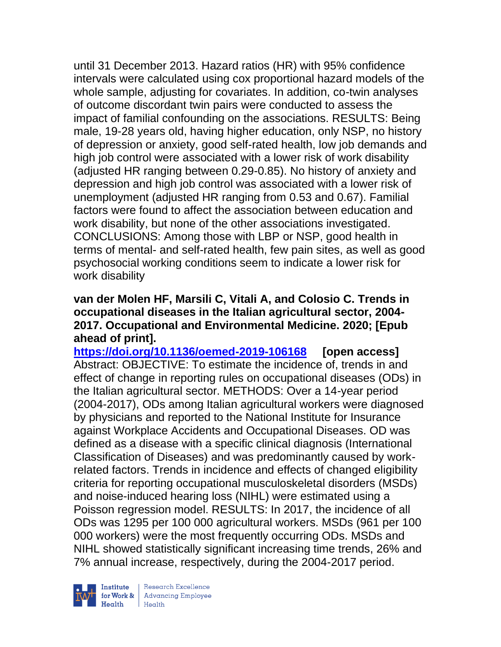until 31 December 2013. Hazard ratios (HR) with 95% confidence intervals were calculated using cox proportional hazard models of the whole sample, adjusting for covariates. In addition, co-twin analyses of outcome discordant twin pairs were conducted to assess the impact of familial confounding on the associations. RESULTS: Being male, 19-28 years old, having higher education, only NSP, no history of depression or anxiety, good self-rated health, low job demands and high job control were associated with a lower risk of work disability (adjusted HR ranging between 0.29-0.85). No history of anxiety and depression and high job control was associated with a lower risk of unemployment (adjusted HR ranging from 0.53 and 0.67). Familial factors were found to affect the association between education and work disability, but none of the other associations investigated. CONCLUSIONS: Among those with LBP or NSP, good health in terms of mental- and self-rated health, few pain sites, as well as good psychosocial working conditions seem to indicate a lower risk for work disability

#### **van der Molen HF, Marsili C, Vitali A, and Colosio C. Trends in occupational diseases in the Italian agricultural sector, 2004- 2017. Occupational and Environmental Medicine. 2020; [Epub ahead of print].**

**<https://doi.org/10.1136/oemed-2019-106168> [open access]** Abstract: OBJECTIVE: To estimate the incidence of, trends in and effect of change in reporting rules on occupational diseases (ODs) in the Italian agricultural sector. METHODS: Over a 14-year period (2004-2017), ODs among Italian agricultural workers were diagnosed by physicians and reported to the National Institute for Insurance against Workplace Accidents and Occupational Diseases. OD was defined as a disease with a specific clinical diagnosis (International Classification of Diseases) and was predominantly caused by workrelated factors. Trends in incidence and effects of changed eligibility criteria for reporting occupational musculoskeletal disorders (MSDs) and noise-induced hearing loss (NIHL) were estimated using a Poisson regression model. RESULTS: In 2017, the incidence of all ODs was 1295 per 100 000 agricultural workers. MSDs (961 per 100 000 workers) were the most frequently occurring ODs. MSDs and NIHL showed statistically significant increasing time trends, 26% and 7% annual increase, respectively, during the 2004-2017 period.



Research Excellence for Work & | Advancing Employee Health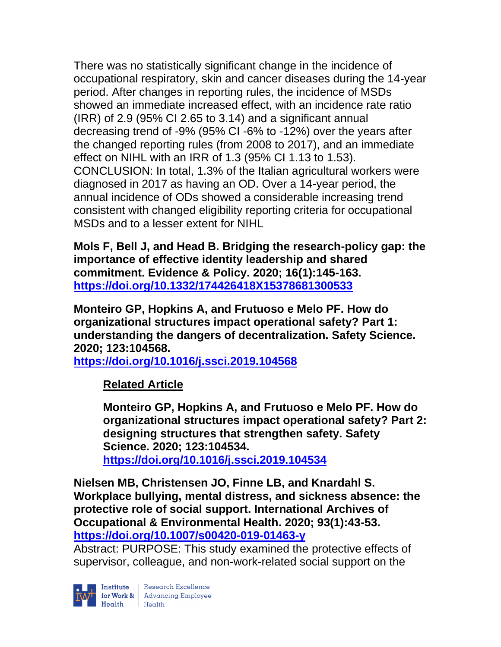There was no statistically significant change in the incidence of occupational respiratory, skin and cancer diseases during the 14-year period. After changes in reporting rules, the incidence of MSDs showed an immediate increased effect, with an incidence rate ratio (IRR) of 2.9 (95% CI 2.65 to 3.14) and a significant annual decreasing trend of -9% (95% CI -6% to -12%) over the years after the changed reporting rules (from 2008 to 2017), and an immediate effect on NIHL with an IRR of 1.3 (95% CI 1.13 to 1.53). CONCLUSION: In total, 1.3% of the Italian agricultural workers were diagnosed in 2017 as having an OD. Over a 14-year period, the annual incidence of ODs showed a considerable increasing trend consistent with changed eligibility reporting criteria for occupational MSDs and to a lesser extent for NIHL

**Mols F, Bell J, and Head B. Bridging the research-policy gap: the importance of effective identity leadership and shared commitment. Evidence & Policy. 2020; 16(1):145-163. <https://doi.org/10.1332/174426418X15378681300533>** 

**Monteiro GP, Hopkins A, and Frutuoso e Melo PF. How do organizational structures impact operational safety? Part 1: understanding the dangers of decentralization. Safety Science. 2020; 123:104568.**

**<https://doi.org/10.1016/j.ssci.2019.104568>** 

**Related Article**

**Monteiro GP, Hopkins A, and Frutuoso e Melo PF. How do organizational structures impact operational safety? Part 2: designing structures that strengthen safety. Safety Science. 2020; 123:104534. <https://doi.org/10.1016/j.ssci.2019.104534>** 

**Nielsen MB, Christensen JO, Finne LB, and Knardahl S. Workplace bullying, mental distress, and sickness absence: the protective role of social support. International Archives of Occupational & Environmental Health. 2020; 93(1):43-53. <https://doi.org/10.1007/s00420-019-01463-y>** 

Abstract: PURPOSE: This study examined the protective effects of supervisor, colleague, and non-work-related social support on the



Institute Research Excellence<br>
for Work & Advancing Employee<br>
Health Health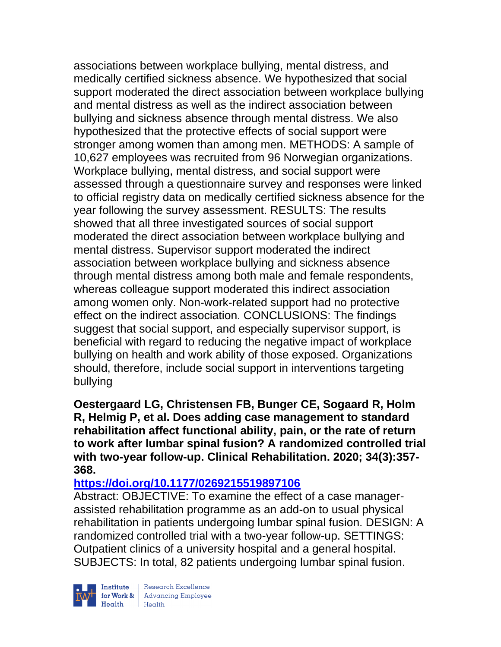associations between workplace bullying, mental distress, and medically certified sickness absence. We hypothesized that social support moderated the direct association between workplace bullying and mental distress as well as the indirect association between bullying and sickness absence through mental distress. We also hypothesized that the protective effects of social support were stronger among women than among men. METHODS: A sample of 10,627 employees was recruited from 96 Norwegian organizations. Workplace bullying, mental distress, and social support were assessed through a questionnaire survey and responses were linked to official registry data on medically certified sickness absence for the year following the survey assessment. RESULTS: The results showed that all three investigated sources of social support moderated the direct association between workplace bullying and mental distress. Supervisor support moderated the indirect association between workplace bullying and sickness absence through mental distress among both male and female respondents, whereas colleague support moderated this indirect association among women only. Non-work-related support had no protective effect on the indirect association. CONCLUSIONS: The findings suggest that social support, and especially supervisor support, is beneficial with regard to reducing the negative impact of workplace bullying on health and work ability of those exposed. Organizations should, therefore, include social support in interventions targeting bullying

**Oestergaard LG, Christensen FB, Bunger CE, Sogaard R, Holm R, Helmig P, et al. Does adding case management to standard rehabilitation affect functional ability, pain, or the rate of return to work after lumbar spinal fusion? A randomized controlled trial with two-year follow-up. Clinical Rehabilitation. 2020; 34(3):357- 368.** 

## **<https://doi.org/10.1177/0269215519897106>**

Abstract: OBJECTIVE: To examine the effect of a case managerassisted rehabilitation programme as an add-on to usual physical rehabilitation in patients undergoing lumbar spinal fusion. DESIGN: A randomized controlled trial with a two-year follow-up. SETTINGS: Outpatient clinics of a university hospital and a general hospital. SUBJECTS: In total, 82 patients undergoing lumbar spinal fusion.



| Research Excellence Finantium Research Excellence<br>
Finantium Research Employee<br>
Realth Health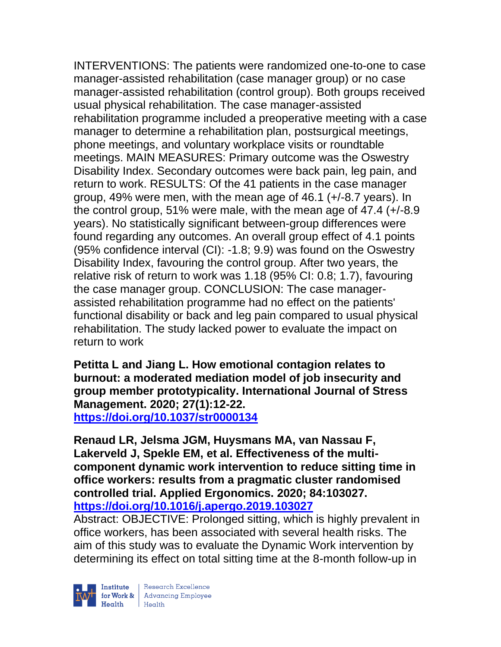INTERVENTIONS: The patients were randomized one-to-one to case manager-assisted rehabilitation (case manager group) or no case manager-assisted rehabilitation (control group). Both groups received usual physical rehabilitation. The case manager-assisted rehabilitation programme included a preoperative meeting with a case manager to determine a rehabilitation plan, postsurgical meetings, phone meetings, and voluntary workplace visits or roundtable meetings. MAIN MEASURES: Primary outcome was the Oswestry Disability Index. Secondary outcomes were back pain, leg pain, and return to work. RESULTS: Of the 41 patients in the case manager group, 49% were men, with the mean age of 46.1 (+/-8.7 years). In the control group, 51% were male, with the mean age of 47.4 (+/-8.9 years). No statistically significant between-group differences were found regarding any outcomes. An overall group effect of 4.1 points (95% confidence interval (CI): -1.8; 9.9) was found on the Oswestry Disability Index, favouring the control group. After two years, the relative risk of return to work was 1.18 (95% CI: 0.8; 1.7), favouring the case manager group. CONCLUSION: The case managerassisted rehabilitation programme had no effect on the patients' functional disability or back and leg pain compared to usual physical rehabilitation. The study lacked power to evaluate the impact on return to work

**Petitta L and Jiang L. How emotional contagion relates to burnout: a moderated mediation model of job insecurity and group member prototypicality. International Journal of Stress Management. 2020; 27(1):12-22. <https://doi.org/10.1037/str0000134>** 

**Renaud LR, Jelsma JGM, Huysmans MA, van Nassau F, Lakerveld J, Spekle EM, et al. Effectiveness of the multicomponent dynamic work intervention to reduce sitting time in office workers: results from a pragmatic cluster randomised controlled trial. Applied Ergonomics. 2020; 84:103027. <https://doi.org/10.1016/j.apergo.2019.103027>** 

Abstract: OBJECTIVE: Prolonged sitting, which is highly prevalent in office workers, has been associated with several health risks. The aim of this study was to evaluate the Dynamic Work intervention by determining its effect on total sitting time at the 8-month follow-up in



| Research Excellence for Work & Advancing Employee<br>Health Health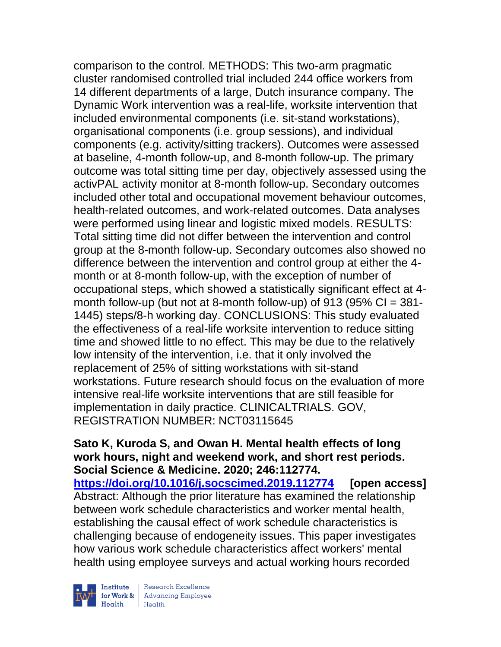comparison to the control. METHODS: This two-arm pragmatic cluster randomised controlled trial included 244 office workers from 14 different departments of a large, Dutch insurance company. The Dynamic Work intervention was a real-life, worksite intervention that included environmental components (i.e. sit-stand workstations), organisational components (i.e. group sessions), and individual components (e.g. activity/sitting trackers). Outcomes were assessed at baseline, 4-month follow-up, and 8-month follow-up. The primary outcome was total sitting time per day, objectively assessed using the activPAL activity monitor at 8-month follow-up. Secondary outcomes included other total and occupational movement behaviour outcomes, health-related outcomes, and work-related outcomes. Data analyses were performed using linear and logistic mixed models. RESULTS: Total sitting time did not differ between the intervention and control group at the 8-month follow-up. Secondary outcomes also showed no difference between the intervention and control group at either the 4 month or at 8-month follow-up, with the exception of number of occupational steps, which showed a statistically significant effect at 4 month follow-up (but not at 8-month follow-up) of 913 (95%  $Cl = 381$ -1445) steps/8-h working day. CONCLUSIONS: This study evaluated the effectiveness of a real-life worksite intervention to reduce sitting time and showed little to no effect. This may be due to the relatively low intensity of the intervention, i.e. that it only involved the replacement of 25% of sitting workstations with sit-stand workstations. Future research should focus on the evaluation of more intensive real-life worksite interventions that are still feasible for implementation in daily practice. CLINICALTRIALS. GOV, REGISTRATION NUMBER: NCT03115645

#### **Sato K, Kuroda S, and Owan H. Mental health effects of long work hours, night and weekend work, and short rest periods. Social Science & Medicine. 2020; 246:112774.**

**<https://doi.org/10.1016/j.socscimed.2019.112774> [open access]** Abstract: Although the prior literature has examined the relationship between work schedule characteristics and worker mental health, establishing the causal effect of work schedule characteristics is challenging because of endogeneity issues. This paper investigates how various work schedule characteristics affect workers' mental health using employee surveys and actual working hours recorded



Research Excellence for Work & Advancing Employee<br>Health Health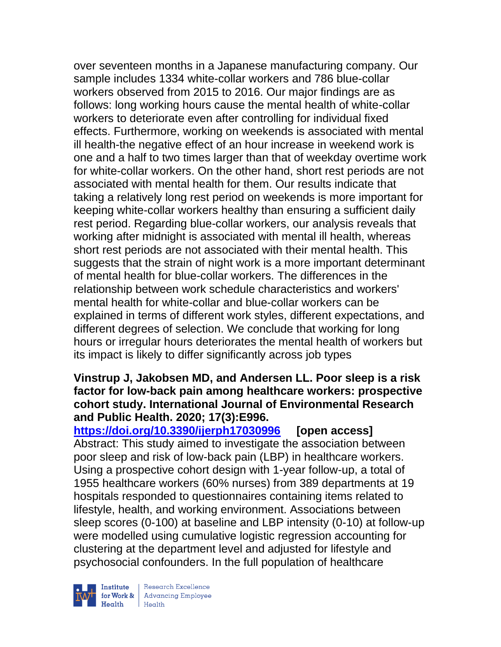over seventeen months in a Japanese manufacturing company. Our sample includes 1334 white-collar workers and 786 blue-collar workers observed from 2015 to 2016. Our major findings are as follows: long working hours cause the mental health of white-collar workers to deteriorate even after controlling for individual fixed effects. Furthermore, working on weekends is associated with mental ill health-the negative effect of an hour increase in weekend work is one and a half to two times larger than that of weekday overtime work for white-collar workers. On the other hand, short rest periods are not associated with mental health for them. Our results indicate that taking a relatively long rest period on weekends is more important for keeping white-collar workers healthy than ensuring a sufficient daily rest period. Regarding blue-collar workers, our analysis reveals that working after midnight is associated with mental ill health, whereas short rest periods are not associated with their mental health. This suggests that the strain of night work is a more important determinant of mental health for blue-collar workers. The differences in the relationship between work schedule characteristics and workers' mental health for white-collar and blue-collar workers can be explained in terms of different work styles, different expectations, and different degrees of selection. We conclude that working for long hours or irregular hours deteriorates the mental health of workers but its impact is likely to differ significantly across job types

# **Vinstrup J, Jakobsen MD, and Andersen LL. Poor sleep is a risk factor for low-back pain among healthcare workers: prospective cohort study. International Journal of Environmental Research and Public Health. 2020; 17(3):E996.**

**<https://doi.org/10.3390/ijerph17030996> [open access]** Abstract: This study aimed to investigate the association between poor sleep and risk of low-back pain (LBP) in healthcare workers. Using a prospective cohort design with 1-year follow-up, a total of 1955 healthcare workers (60% nurses) from 389 departments at 19 hospitals responded to questionnaires containing items related to lifestyle, health, and working environment. Associations between sleep scores (0-100) at baseline and LBP intensity (0-10) at follow-up were modelled using cumulative logistic regression accounting for clustering at the department level and adjusted for lifestyle and psychosocial confounders. In the full population of healthcare



Research Excellence **Institute** Research Excellence<br> **Fractional Advancing Employee**<br> **Health** Health